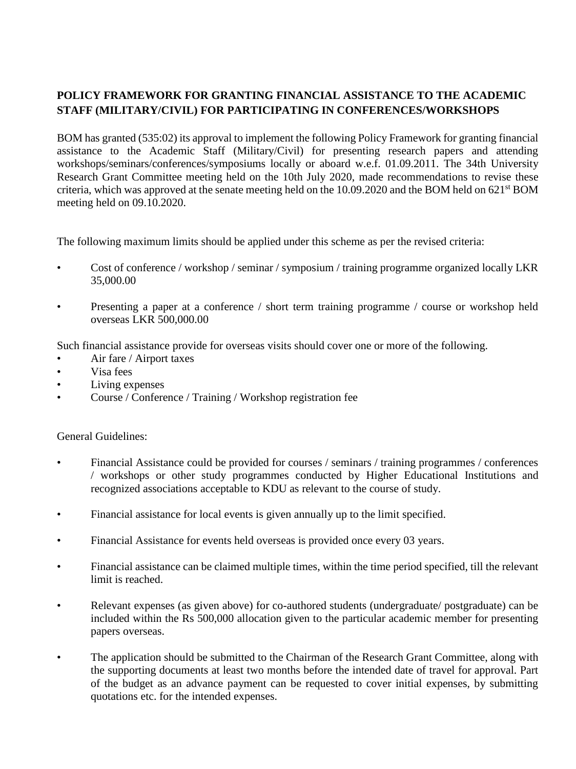## **POLICY FRAMEWORK FOR GRANTING FINANCIAL ASSISTANCE TO THE ACADEMIC STAFF (MILITARY/CIVIL) FOR PARTICIPATING IN CONFERENCES/WORKSHOPS**

BOM has granted (535:02) its approval to implement the following Policy Framework for granting financial assistance to the Academic Staff (Military/Civil) for presenting research papers and attending workshops/seminars/conferences/symposiums locally or aboard w.e.f. 01.09.2011. The 34th University Research Grant Committee meeting held on the 10th July 2020, made recommendations to revise these criteria, which was approved at the senate meeting held on the 10.09.2020 and the BOM held on 621<sup>st</sup> BOM meeting held on 09.10.2020.

The following maximum limits should be applied under this scheme as per the revised criteria:

- Cost of conference / workshop / seminar / symposium / training programme organized locally LKR 35,000.00
- Presenting a paper at a conference / short term training programme / course or workshop held overseas LKR 500,000.00

Such financial assistance provide for overseas visits should cover one or more of the following.

- Air fare / Airport taxes
- Visa fees
- Living expenses
- Course / Conference / Training / Workshop registration fee

## General Guidelines:

- Financial Assistance could be provided for courses / seminars / training programmes / conferences / workshops or other study programmes conducted by Higher Educational Institutions and recognized associations acceptable to KDU as relevant to the course of study.
- Financial assistance for local events is given annually up to the limit specified.
- Financial Assistance for events held overseas is provided once every 03 years.
- Financial assistance can be claimed multiple times, within the time period specified, till the relevant limit is reached.
- Relevant expenses (as given above) for co-authored students (undergraduate/ postgraduate) can be included within the Rs 500,000 allocation given to the particular academic member for presenting papers overseas.
- The application should be submitted to the Chairman of the Research Grant Committee, along with the supporting documents at least two months before the intended date of travel for approval. Part of the budget as an advance payment can be requested to cover initial expenses, by submitting quotations etc. for the intended expenses.